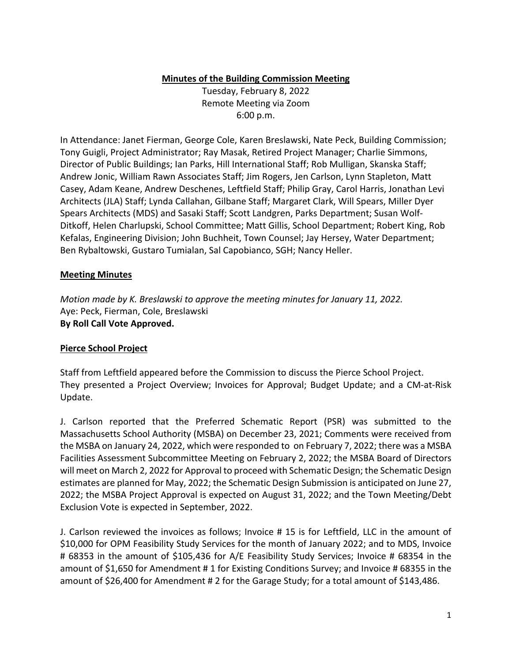# **Minutes of the Building Commission Meeting**

Tuesday, February 8, 2022 Remote Meeting via Zoom 6:00 p.m.

In Attendance: Janet Fierman, George Cole, Karen Breslawski, Nate Peck, Building Commission; Tony Guigli, Project Administrator; Ray Masak, Retired Project Manager; Charlie Simmons, Director of Public Buildings; Ian Parks, Hill International Staff; Rob Mulligan, Skanska Staff; Andrew Jonic, William Rawn Associates Staff; Jim Rogers, Jen Carlson, Lynn Stapleton, Matt Casey, Adam Keane, Andrew Deschenes, Leftfield Staff; Philip Gray, Carol Harris, Jonathan Levi Architects (JLA) Staff; Lynda Callahan, Gilbane Staff; Margaret Clark, Will Spears, Miller Dyer Spears Architects (MDS) and Sasaki Staff; Scott Landgren, Parks Department; Susan Wolf‐ Ditkoff, Helen Charlupski, School Committee; Matt Gillis, School Department; Robert King, Rob Kefalas, Engineering Division; John Buchheit, Town Counsel; Jay Hersey, Water Department; Ben Rybaltowski, Gustaro Tumialan, Sal Capobianco, SGH; Nancy Heller.

#### **Meeting Minutes**

*Motion made by K. Breslawski to approve the meeting minutes for January 11, 2022.*  Aye: Peck, Fierman, Cole, Breslawski **By Roll Call Vote Approved.** 

# **Pierce School Project**

Staff from Leftfield appeared before the Commission to discuss the Pierce School Project. They presented a Project Overview; Invoices for Approval; Budget Update; and a CM‐at‐Risk Update.

J. Carlson reported that the Preferred Schematic Report (PSR) was submitted to the Massachusetts School Authority (MSBA) on December 23, 2021; Comments were received from the MSBA on January 24, 2022, which were responded to on February 7, 2022; there was a MSBA Facilities Assessment Subcommittee Meeting on February 2, 2022; the MSBA Board of Directors will meet on March 2, 2022 for Approval to proceed with Schematic Design; the Schematic Design estimates are planned for May, 2022; the Schematic Design Submission is anticipated on June 27, 2022; the MSBA Project Approval is expected on August 31, 2022; and the Town Meeting/Debt Exclusion Vote is expected in September, 2022.

J. Carlson reviewed the invoices as follows; Invoice # 15 is for Leftfield, LLC in the amount of \$10,000 for OPM Feasibility Study Services for the month of January 2022; and to MDS, Invoice # 68353 in the amount of \$105,436 for A/E Feasibility Study Services; Invoice # 68354 in the amount of \$1,650 for Amendment # 1 for Existing Conditions Survey; and Invoice # 68355 in the amount of \$26,400 for Amendment # 2 for the Garage Study; for a total amount of \$143,486.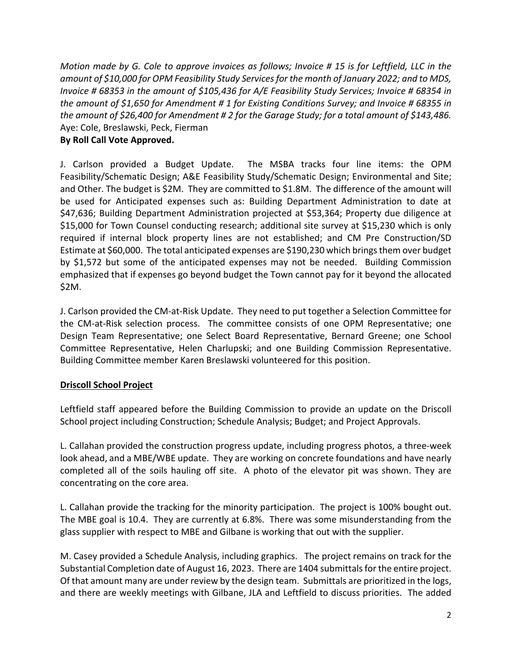*Motion made by G. Cole to approve invoices as follows; Invoice # 15 is for Leftfield, LLC in the amount of \$10,000 for OPM Feasibility Study Services for the month of January 2022; and to MDS, Invoice # 68353 in the amount of \$105,436 for A/E Feasibility Study Services; Invoice # 68354 in the amount of \$1,650 for Amendment # 1 for Existing Conditions Survey; and Invoice # 68355 in the amount of \$26,400 for Amendment # 2 for the Garage Study; for a total amount of \$143,486.*  Aye: Cole, Breslawski, Peck, Fierman **By Roll Call Vote Approved.** 

# J. Carlson provided a Budget Update. The MSBA tracks four line items: the OPM Feasibility/Schematic Design; A&E Feasibility Study/Schematic Design; Environmental and Site; and Other. The budget is \$2M. They are committed to \$1.8M. The difference of the amount will be used for Anticipated expenses such as: Building Department Administration to date at \$47,636; Building Department Administration projected at \$53,364; Property due diligence at \$15,000 for Town Counsel conducting research; additional site survey at \$15,230 which is only required if internal block property lines are not established; and CM Pre Construction/SD Estimate at \$60,000. The total anticipated expenses are \$190,230 which brings them over budget by \$1,572 but some of the anticipated expenses may not be needed. Building Commission emphasized that if expenses go beyond budget the Town cannot pay for it beyond the allocated \$2M.

J. Carlson provided the CM‐at‐Risk Update. They need to put together a Selection Committee for the CM‐at‐Risk selection process. The committee consists of one OPM Representative; one Design Team Representative; one Select Board Representative, Bernard Greene; one School Committee Representative, Helen Charlupski; and one Building Commission Representative. Building Committee member Karen Breslawski volunteered for this position.

# **Driscoll School Project**

Leftfield staff appeared before the Building Commission to provide an update on the Driscoll School project including Construction; Schedule Analysis; Budget; and Project Approvals.

L. Callahan provided the construction progress update, including progress photos, a three‐week look ahead, and a MBE/WBE update. They are working on concrete foundations and have nearly completed all of the soils hauling off site. A photo of the elevator pit was shown. They are concentrating on the core area.

L. Callahan provide the tracking for the minority participation. The project is 100% bought out. The MBE goal is 10.4. They are currently at 6.8%. There was some misunderstanding from the glass supplier with respect to MBE and Gilbane is working that out with the supplier.

M. Casey provided a Schedule Analysis, including graphics. The project remains on track for the Substantial Completion date of August 16, 2023. There are 1404 submittals for the entire project. Of that amount many are under review by the design team. Submittals are prioritized in the logs, and there are weekly meetings with Gilbane, JLA and Leftfield to discuss priorities. The added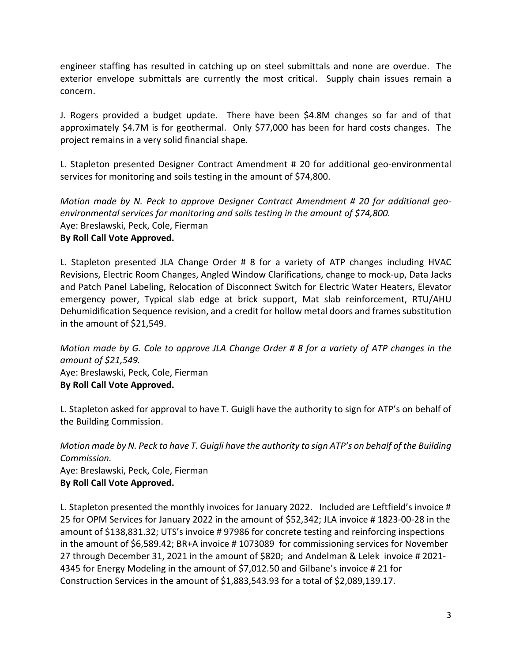engineer staffing has resulted in catching up on steel submittals and none are overdue. The exterior envelope submittals are currently the most critical. Supply chain issues remain a concern.

J. Rogers provided a budget update. There have been \$4.8M changes so far and of that approximately \$4.7M is for geothermal. Only \$77,000 has been for hard costs changes. The project remains in a very solid financial shape.

L. Stapleton presented Designer Contract Amendment # 20 for additional geo-environmental services for monitoring and soils testing in the amount of \$74,800.

*Motion made by N. Peck to approve Designer Contract Amendment # 20 for additional geo‐ environmental services for monitoring and soils testing in the amount of \$74,800.*  Aye: Breslawski, Peck, Cole, Fierman

# **By Roll Call Vote Approved.**

L. Stapleton presented JLA Change Order # 8 for a variety of ATP changes including HVAC Revisions, Electric Room Changes, Angled Window Clarifications, change to mock‐up, Data Jacks and Patch Panel Labeling, Relocation of Disconnect Switch for Electric Water Heaters, Elevator emergency power, Typical slab edge at brick support, Mat slab reinforcement, RTU/AHU Dehumidification Sequence revision, and a credit for hollow metal doors and frames substitution in the amount of \$21,549.

*Motion made by G. Cole to approve JLA Change Order # 8 for a variety of ATP changes in the amount of \$21,549.*  Aye: Breslawski, Peck, Cole, Fierman

# **By Roll Call Vote Approved.**

L. Stapleton asked for approval to have T. Guigli have the authority to sign for ATP's on behalf of the Building Commission.

*Motion made by N. Peck to have T. Guigli have the authority to sign ATP's on behalf of the Building Commission.*  Aye: Breslawski, Peck, Cole, Fierman **By Roll Call Vote Approved.** 

L. Stapleton presented the monthly invoices for January 2022. Included are Leftfield's invoice # 25 for OPM Services for January 2022 in the amount of \$52,342; JLA invoice # 1823‐00‐28 in the amount of \$138,831.32; UTS's invoice # 97986 for concrete testing and reinforcing inspections in the amount of \$6,589.42; BR+A invoice # 1073089 for commissioning services for November 27 through December 31, 2021 in the amount of \$820; and Andelman & Lelek invoice # 2021‐ 4345 for Energy Modeling in the amount of \$7,012.50 and Gilbane's invoice # 21 for Construction Services in the amount of \$1,883,543.93 for a total of \$2,089,139.17.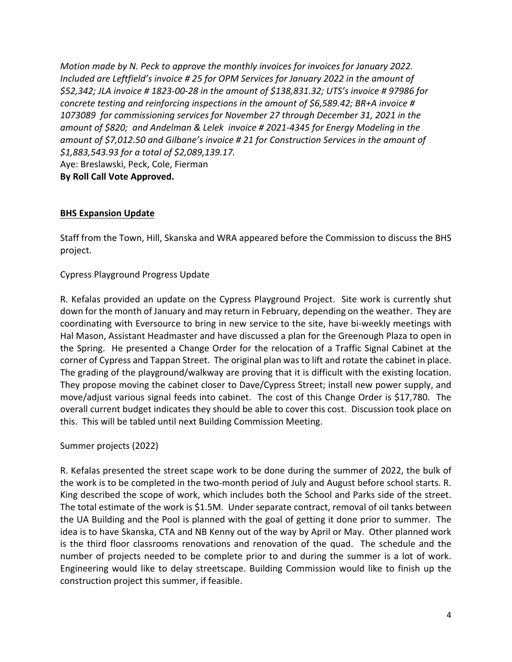*Motion made by N. Peck to approve the monthly invoices for invoices for January 2022. Included are Leftfield's invoice # 25 for OPM Services for January 2022 in the amount of \$52,342; JLA invoice # 1823‐00‐28 in the amount of \$138,831.32; UTS's invoice # 97986 for concrete testing and reinforcing inspections in the amount of \$6,589.42; BR+A invoice # 1073089 for commissioning services for November 27 through December 31, 2021 in the amount of \$820; and Andelman & Lelek invoice # 2021‐4345 for Energy Modeling in the amount of \$7,012.50 and Gilbane's invoice # 21 for Construction Services in the amount of \$1,883,543.93 for a total of \$2,089,139.17.*  Aye: Breslawski, Peck, Cole, Fierman **By Roll Call Vote Approved.** 

#### **BHS Expansion Update**

Staff from the Town, Hill, Skanska and WRA appeared before the Commission to discuss the BHS project.

Cypress Playground Progress Update

R. Kefalas provided an update on the Cypress Playground Project. Site work is currently shut down for the month of January and may return in February, depending on the weather. They are coordinating with Eversource to bring in new service to the site, have bi-weekly meetings with Hal Mason, Assistant Headmaster and have discussed a plan for the Greenough Plaza to open in the Spring. He presented a Change Order for the relocation of a Traffic Signal Cabinet at the corner of Cypress and Tappan Street. The original plan was to lift and rotate the cabinet in place. The grading of the playground/walkway are proving that it is difficult with the existing location. They propose moving the cabinet closer to Dave/Cypress Street; install new power supply, and move/adjust various signal feeds into cabinet. The cost of this Change Order is \$17,780. The overall current budget indicates they should be able to cover this cost. Discussion took place on this. This will be tabled until next Building Commission Meeting.

Summer projects (2022)

R. Kefalas presented the street scape work to be done during the summer of 2022, the bulk of the work is to be completed in the two-month period of July and August before school starts. R. King described the scope of work, which includes both the School and Parks side of the street. The total estimate of the work is \$1.5M. Under separate contract, removal of oil tanks between the UA Building and the Pool is planned with the goal of getting it done prior to summer. The idea is to have Skanska, CTA and NB Kenny out of the way by April or May. Other planned work is the third floor classrooms renovations and renovation of the quad. The schedule and the number of projects needed to be complete prior to and during the summer is a lot of work. Engineering would like to delay streetscape. Building Commission would like to finish up the construction project this summer, if feasible.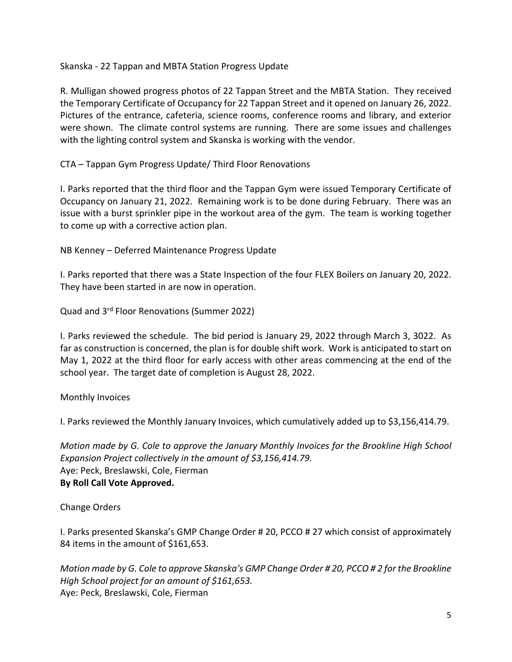Skanska ‐ 22 Tappan and MBTA Station Progress Update

R. Mulligan showed progress photos of 22 Tappan Street and the MBTA Station. They received the Temporary Certificate of Occupancy for 22 Tappan Street and it opened on January 26, 2022. Pictures of the entrance, cafeteria, science rooms, conference rooms and library, and exterior were shown. The climate control systems are running. There are some issues and challenges with the lighting control system and Skanska is working with the vendor.

CTA – Tappan Gym Progress Update/ Third Floor Renovations

I. Parks reported that the third floor and the Tappan Gym were issued Temporary Certificate of Occupancy on January 21, 2022. Remaining work is to be done during February. There was an issue with a burst sprinkler pipe in the workout area of the gym. The team is working together to come up with a corrective action plan.

NB Kenney – Deferred Maintenance Progress Update

I. Parks reported that there was a State Inspection of the four FLEX Boilers on January 20, 2022. They have been started in are now in operation.

Quad and 3rd Floor Renovations (Summer 2022)

I. Parks reviewed the schedule. The bid period is January 29, 2022 through March 3, 3022. As far as construction is concerned, the plan is for double shift work. Work is anticipated to start on May 1, 2022 at the third floor for early access with other areas commencing at the end of the school year. The target date of completion is August 28, 2022.

Monthly Invoices

I. Parks reviewed the Monthly January Invoices, which cumulatively added up to \$3,156,414.79.

*Motion made by G. Cole to approve the January Monthly Invoices for the Brookline High School Expansion Project collectively in the amount of \$3,156,414.79.*  Aye: Peck, Breslawski, Cole, Fierman **By Roll Call Vote Approved.** 

Change Orders

I. Parks presented Skanska's GMP Change Order # 20, PCCO # 27 which consist of approximately 84 items in the amount of \$161,653.

*Motion made by G. Cole to approve Skanska's GMP Change Order # 20, PCCO # 2 for the Brookline High School project for an amount of \$161,653.*  Aye: Peck, Breslawski, Cole, Fierman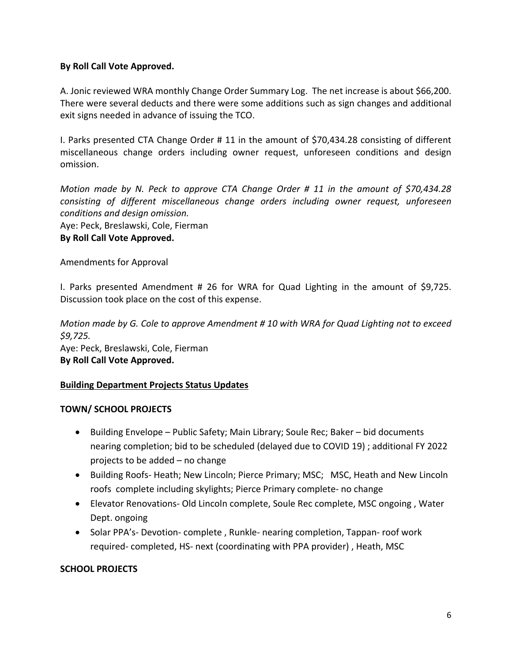#### **By Roll Call Vote Approved.**

A. Jonic reviewed WRA monthly Change Order Summary Log. The net increase is about \$66,200. There were several deducts and there were some additions such as sign changes and additional exit signs needed in advance of issuing the TCO.

I. Parks presented CTA Change Order # 11 in the amount of \$70,434.28 consisting of different miscellaneous change orders including owner request, unforeseen conditions and design omission.

*Motion made by N. Peck to approve CTA Change Order # 11 in the amount of \$70,434.28 consisting of different miscellaneous change orders including owner request, unforeseen conditions and design omission.* 

Aye: Peck, Breslawski, Cole, Fierman

# **By Roll Call Vote Approved.**

Amendments for Approval

I. Parks presented Amendment # 26 for WRA for Quad Lighting in the amount of \$9,725. Discussion took place on the cost of this expense.

*Motion made by G. Cole to approve Amendment # 10 with WRA for Quad Lighting not to exceed \$9,725.*  Aye: Peck, Breslawski, Cole, Fierman **By Roll Call Vote Approved.** 

# **Building Department Projects Status Updates**

# **TOWN/ SCHOOL PROJECTS**

- Building Envelope Public Safety; Main Library; Soule Rec; Baker bid documents nearing completion; bid to be scheduled (delayed due to COVID 19) ; additional FY 2022 projects to be added – no change
- Building Roofs- Heath; New Lincoln; Pierce Primary; MSC; MSC, Heath and New Lincoln roofs complete including skylights; Pierce Primary complete‐ no change
- Elevator Renovations- Old Lincoln complete, Soule Rec complete, MSC ongoing, Water Dept. ongoing
- Solar PPA's- Devotion- complete, Runkle- nearing completion, Tappan- roof work required‐ completed, HS‐ next (coordinating with PPA provider) , Heath, MSC

#### **SCHOOL PROJECTS**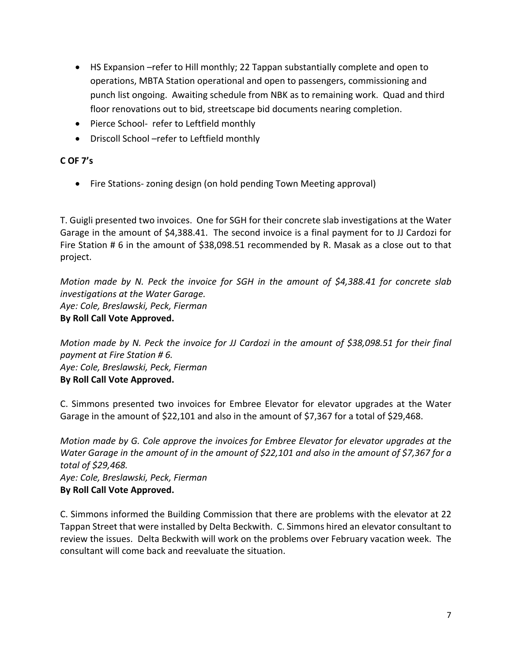- HS Expansion –refer to Hill monthly; 22 Tappan substantially complete and open to operations, MBTA Station operational and open to passengers, commissioning and punch list ongoing. Awaiting schedule from NBK as to remaining work. Quad and third floor renovations out to bid, streetscape bid documents nearing completion.
- Pierce School- refer to Leftfield monthly
- Driscoll School –refer to Leftfield monthly

### **C OF 7's**

● Fire Stations- zoning design (on hold pending Town Meeting approval)

T. Guigli presented two invoices. One for SGH for their concrete slab investigations at the Water Garage in the amount of \$4,388.41. The second invoice is a final payment for to JJ Cardozi for Fire Station # 6 in the amount of \$38,098.51 recommended by R. Masak as a close out to that project.

*Motion made by N. Peck the invoice for SGH in the amount of \$4,388.41 for concrete slab investigations at the Water Garage. Aye: Cole, Breslawski, Peck, Fierman*  **By Roll Call Vote Approved.** 

*Motion made by N. Peck the invoice for JJ Cardozi in the amount of \$38,098.51 for their final payment at Fire Station # 6. Aye: Cole, Breslawski, Peck, Fierman*  **By Roll Call Vote Approved.** 

C. Simmons presented two invoices for Embree Elevator for elevator upgrades at the Water Garage in the amount of \$22,101 and also in the amount of \$7,367 for a total of \$29,468.

*Motion made by G. Cole approve the invoices for Embree Elevator for elevator upgrades at the Water Garage in the amount of in the amount of \$22,101 and also in the amount of \$7,367 for a total of \$29,468. Aye: Cole, Breslawski, Peck, Fierman*  **By Roll Call Vote Approved.** 

C. Simmons informed the Building Commission that there are problems with the elevator at 22 Tappan Street that were installed by Delta Beckwith. C. Simmons hired an elevator consultant to review the issues. Delta Beckwith will work on the problems over February vacation week. The consultant will come back and reevaluate the situation.